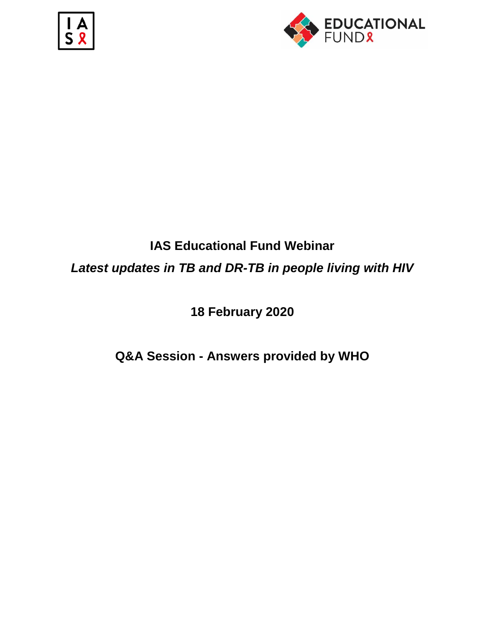



# **IAS Educational Fund Webinar** *Latest updates in TB and DR-TB in people living with HIV*

**18 February 2020**

**Q&A Session - Answers provided by WHO**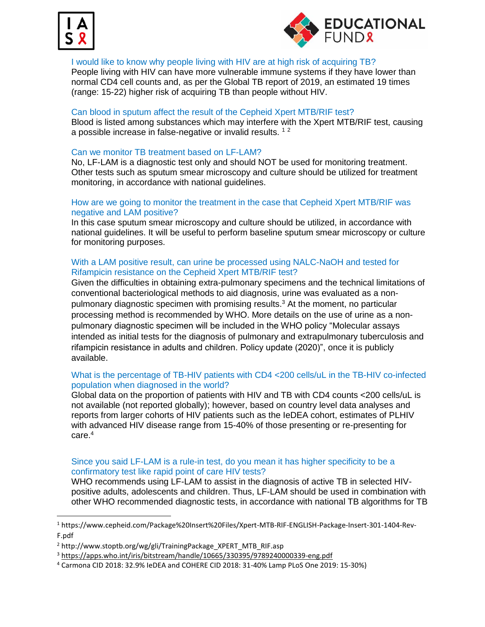

 $\overline{\phantom{a}}$ 



#### I would like to know why people living with HIV are at high risk of acquiring TB?

People living with HIV can have more vulnerable immune systems if they have lower than normal CD4 cell counts and, as per the Global TB report of 2019, an estimated 19 times (range: 15-22) higher risk of acquiring TB than people without HIV.

#### Can blood in sputum affect the result of the Cepheid Xpert MTB/RIF test?

Blood is listed among substances which may interfere with the Xpert MTB/RIF test, causing a possible increase in false-negative or invalid results.  $12$ 

#### Can we monitor TB treatment based on LF-LAM?

No, LF-LAM is a diagnostic test only and should NOT be used for monitoring treatment. Other tests such as sputum smear microscopy and culture should be utilized for treatment monitoring, in accordance with national guidelines.

#### How are we going to monitor the treatment in the case that Cepheid Xpert MTB/RIF was negative and LAM positive?

In this case sputum smear microscopy and culture should be utilized, in accordance with national guidelines. It will be useful to perform baseline sputum smear microscopy or culture for monitoring purposes.

### With a LAM positive result, can urine be processed using NALC-NaOH and tested for Rifampicin resistance on the Cepheid Xpert MTB/RIF test?

Given the difficulties in obtaining extra-pulmonary specimens and the technical limitations of conventional bacteriological methods to aid diagnosis, urine was evaluated as a nonpulmonary diagnostic specimen with promising results.<sup>3</sup> At the moment, no particular processing method is recommended by WHO. More details on the use of urine as a nonpulmonary diagnostic specimen will be included in the WHO policy "Molecular assays intended as initial tests for the diagnosis of pulmonary and extrapulmonary tuberculosis and rifampicin resistance in adults and children. Policy update (2020)", once it is publicly available.

#### What is the percentage of TB-HIV patients with CD4 <200 cells/uL in the TB-HIV co-infected population when diagnosed in the world?

Global data on the proportion of patients with HIV and TB with CD4 counts <200 cells/uL is not available (not reported globally); however, based on country level data analyses and reports from larger cohorts of HIV patients such as the IeDEA cohort, estimates of PLHIV with advanced HIV disease range from 15-40% of those presenting or re-presenting for care. 4

#### Since you said LF-LAM is a rule-in test, do you mean it has higher specificity to be a confirmatory test like rapid point of care HIV tests?

WHO recommends using LF-LAM to assist in the diagnosis of active TB in selected HIVpositive adults, adolescents and children. Thus, LF-LAM should be used in combination with other WHO recommended diagnostic tests, in accordance with national TB algorithms for TB

<sup>1</sup> [https://www.cepheid.com/Package%20Insert%20Files/Xpert-MTB-RIF-ENGLISH-Package-Insert-301-1404-Rev-](https://www.cepheid.com/Package%20Insert%20Files/Xpert-MTB-RIF-ENGLISH-Package-Insert-301-1404-Rev-F.pdf)[F.pdf](https://www.cepheid.com/Package%20Insert%20Files/Xpert-MTB-RIF-ENGLISH-Package-Insert-301-1404-Rev-F.pdf)

<sup>&</sup>lt;sup>2</sup> [http://www.stoptb.org/wg/gli/TrainingPackage\\_XPERT\\_MTB\\_RIF.asp](http://www.stoptb.org/wg/gli/TrainingPackage_XPERT_MTB_RIF.asp)

<sup>3</sup> <https://apps.who.int/iris/bitstream/handle/10665/330395/9789240000339-eng.pdf>

<sup>4</sup> Carmona CID 2018: 32.9% IeDEA and COHERE CID 2018: 31-40% Lamp PLoS One 2019: 15-30%)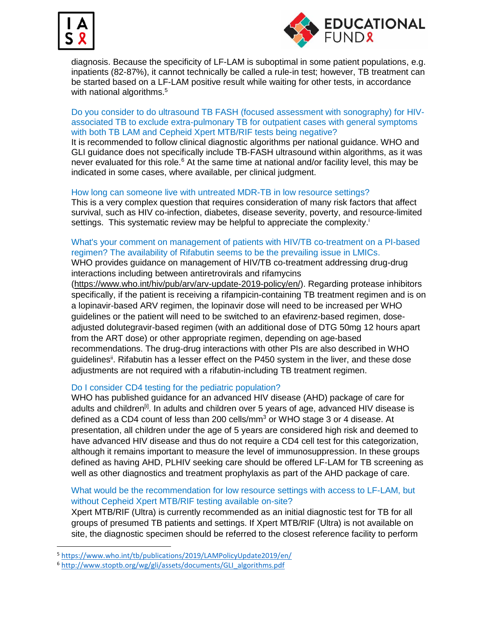



diagnosis. Because the specificity of LF-LAM is suboptimal in some patient populations, e.g. inpatients (82-87%), it cannot technically be called a rule-in test; however, TB treatment can be started based on a LF-LAM positive result while waiting for other tests, in accordance with national algorithms.<sup>5</sup>

#### Do you consider to do ultrasound TB FASH (focused assessment with sonography) for HIVassociated TB to exclude extra-pulmonary TB for outpatient cases with general symptoms with both TB LAM and Cepheid Xpert MTB/RIF tests being negative?

It is recommended to follow clinical diagnostic algorithms per national guidance. WHO and GLI guidance does not specifically include TB-FASH ultrasound within algorithms, as it was never evaluated for this role. $6$  At the same time at national and/or facility level, this may be indicated in some cases, where available, per clinical judgment.

#### How long can someone live with untreated MDR-TB in low resource settings?

This is a very complex question that requires consideration of many risk factors that affect survival, such as HIV co-infection, diabetes, disease severity, poverty, and resource-limited settings. This systematic review may be helpful to appreciate the complexity.<sup>i</sup>

# What's your comment on management of patients with HIV/TB co-treatment on a PI-based regimen? The availability of Rifabutin seems to be the prevailing issue in LMICs.

WHO provides guidance on management of HIV/TB co-treatment addressing drug-drug interactions including between antiretrovirals and rifamycins

[\(https://www.who.int/hiv/pub/arv/arv-update-2019-policy/en/\)](https://www.who.int/hiv/pub/arv/arv-update-2019-policy/en/). Regarding protease inhibitors specifically, if the patient is receiving a rifampicin-containing TB treatment regimen and is on a lopinavir-based ARV regimen, the lopinavir dose will need to be increased per WHO guidelines or the patient will need to be switched to an efavirenz-based regimen, doseadjusted dolutegravir-based regimen (with an additional dose of DTG 50mg 12 hours apart from the ART dose) or other appropriate regimen, depending on age-based recommendations. The drug-drug interactions with other PIs are also described in WHO guidelines<sup>ii</sup>. Rifabutin has a lesser effect on the P450 system in the liver, and these dose adjustments are not required with a rifabutin-including TB treatment regimen.

## Do I consider CD4 testing for the pediatric population?

WHO has published guidance for an advanced HIV disease (AHD) package of care for adults and children<sup>[i]</sup>. In adults and children over 5 years of age, advanced HIV disease is defined as a CD4 count of less than 200 cells/mm $3$  or WHO stage 3 or 4 disease. At presentation, all children under the age of 5 years are considered high risk and deemed to have advanced HIV disease and thus do not require a CD4 cell test for this categorization, although it remains important to measure the level of immunosuppression. In these groups defined as having AHD, PLHIV seeking care should be offered LF-LAM for TB screening as well as other diagnostics and treatment prophylaxis as part of the AHD package of care.

## What would be the recommendation for low resource settings with access to LF-LAM, but without Cepheid Xpert MTB/RIF testing available on-site?

Xpert MTB/RIF (Ultra) is currently recommended as an initial diagnostic test for TB for all groups of presumed TB patients and settings. If Xpert MTB/RIF (Ultra) is not available on site, the diagnostic specimen should be referred to the closest reference facility to perform

 $\overline{\phantom{a}}$ 

<sup>5</sup> <https://www.who.int/tb/publications/2019/LAMPolicyUpdate2019/en/>

<sup>6</sup> [http://www.stoptb.org/wg/gli/assets/documents/GLI\\_algorithms.pdf](http://www.stoptb.org/wg/gli/assets/documents/GLI_algorithms.pdf)